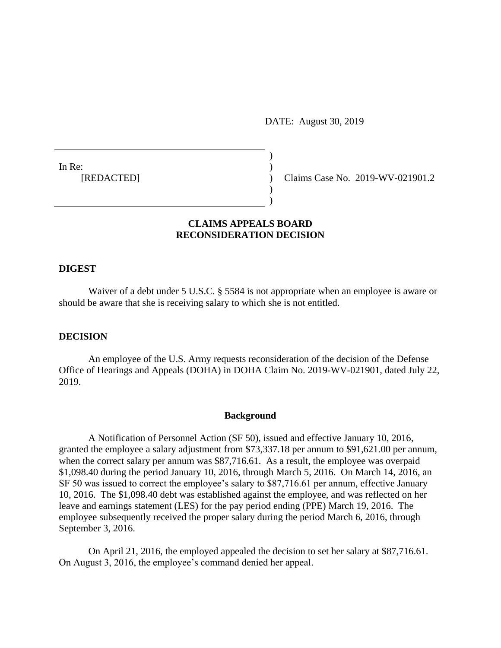DATE: August 30, 2019

In Re: [REDACTED]

Claims Case No. 2019-WV-021901.2

# **CLAIMS APPEALS BOARD RECONSIDERATION DECISION**

) )  $\lambda$ ) )

### **DIGEST**

Waiver of a debt under 5 U.S.C. § 5584 is not appropriate when an employee is aware or should be aware that she is receiving salary to which she is not entitled.

# **DECISION**

An employee of the U.S. Army requests reconsideration of the decision of the Defense Office of Hearings and Appeals (DOHA) in DOHA Claim No. 2019-WV-021901, dated July 22, 2019.

# **Background**

A Notification of Personnel Action (SF 50), issued and effective January 10, 2016, granted the employee a salary adjustment from \$73,337.18 per annum to \$91,621.00 per annum, when the correct salary per annum was \$87,716.61. As a result, the employee was overpaid \$1,098.40 during the period January 10, 2016, through March 5, 2016. On March 14, 2016, an SF 50 was issued to correct the employee's salary to \$87,716.61 per annum, effective January 10, 2016. The \$1,098.40 debt was established against the employee, and was reflected on her leave and earnings statement (LES) for the pay period ending (PPE) March 19, 2016. The employee subsequently received the proper salary during the period March 6, 2016, through September 3, 2016.

On April 21, 2016, the employed appealed the decision to set her salary at \$87,716.61. On August 3, 2016, the employee's command denied her appeal.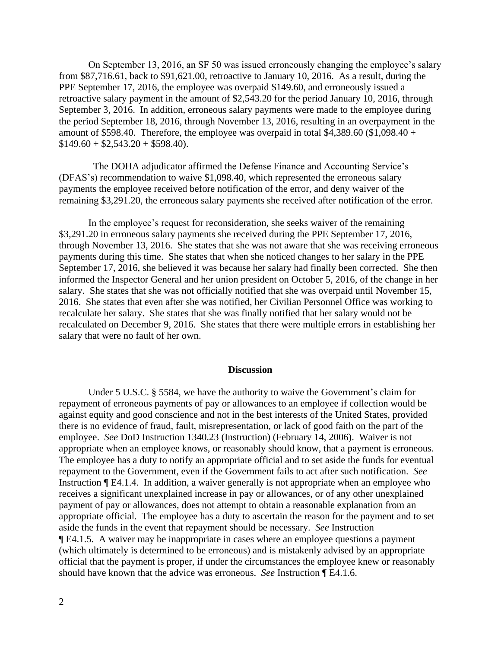On September 13, 2016, an SF 50 was issued erroneously changing the employee's salary from \$87,716.61, back to \$91,621.00, retroactive to January 10, 2016. As a result, during the PPE September 17, 2016, the employee was overpaid \$149.60, and erroneously issued a retroactive salary payment in the amount of \$2,543.20 for the period January 10, 2016, through September 3, 2016. In addition, erroneous salary payments were made to the employee during the period September 18, 2016, through November 13, 2016, resulting in an overpayment in the amount of \$598.40. Therefore, the employee was overpaid in total \$4,389.60 (\$1,098.40 +  $$149.60 + $2,543.20 + $598.40$ .

 The DOHA adjudicator affirmed the Defense Finance and Accounting Service's (DFAS's) recommendation to waive \$1,098.40, which represented the erroneous salary payments the employee received before notification of the error, and deny waiver of the remaining \$3,291.20, the erroneous salary payments she received after notification of the error.

In the employee's request for reconsideration, she seeks waiver of the remaining \$3,291.20 in erroneous salary payments she received during the PPE September 17, 2016, through November 13, 2016. She states that she was not aware that she was receiving erroneous payments during this time. She states that when she noticed changes to her salary in the PPE September 17, 2016, she believed it was because her salary had finally been corrected. She then informed the Inspector General and her union president on October 5, 2016, of the change in her salary. She states that she was not officially notified that she was overpaid until November 15, 2016. She states that even after she was notified, her Civilian Personnel Office was working to recalculate her salary. She states that she was finally notified that her salary would not be recalculated on December 9, 2016. She states that there were multiple errors in establishing her salary that were no fault of her own.

### **Discussion**

Under 5 U.S.C. § 5584, we have the authority to waive the Government's claim for repayment of erroneous payments of pay or allowances to an employee if collection would be against equity and good conscience and not in the best interests of the United States, provided there is no evidence of fraud, fault, misrepresentation, or lack of good faith on the part of the employee. *See* DoD Instruction 1340.23 (Instruction) (February 14, 2006). Waiver is not appropriate when an employee knows, or reasonably should know, that a payment is erroneous. The employee has a duty to notify an appropriate official and to set aside the funds for eventual repayment to the Government, even if the Government fails to act after such notification. *See* Instruction ¶ E4.1.4. In addition, a waiver generally is not appropriate when an employee who receives a significant unexplained increase in pay or allowances, or of any other unexplained payment of pay or allowances, does not attempt to obtain a reasonable explanation from an appropriate official. The employee has a duty to ascertain the reason for the payment and to set aside the funds in the event that repayment should be necessary. *See* Instruction ¶ E4.1.5. A waiver may be inappropriate in cases where an employee questions a payment (which ultimately is determined to be erroneous) and is mistakenly advised by an appropriate official that the payment is proper, if under the circumstances the employee knew or reasonably should have known that the advice was erroneous. *See* Instruction ¶ E4.1.6.